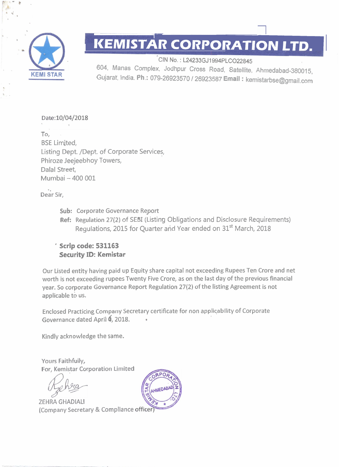

--

**KEMISTAR CORPORATION LTD.**<br>
CIN No.: L24233GJ1994PLC022845<br>
604, Manas Complex, Jodhpur Cross Road, Satellite, Ahmedabad-380015,<br>
Gujarat, India. Ph.: 079-26923570 / 26923587 Email : kemistarbse@gmail.com 604, Manas Complex, Jodhpur Cross Road. Satellite, Ahmedabad-380015. Gujarat, India. **Ph** .: 079-26923570 I26923587 **Email** : kemistarbse@gmail.com

### Date:10/04/2018

To, BSE Limited, Listing Dept. /Dept. of Corporate Services, Phiroze Jeejeebhoy Towers, Dalal Street, Mumbai - **400 001** 

Dear Sir,

- Sub: Corporate Governance Report
- Ref: Regulation 27(2) of SEBI (Listing Obligations and Disclosure Requirements) Regulations, 2015 for Quarter and Year ended on 31<sup>st</sup> March, 2018

### ' **Scrip code: 531163 Security ID: Kemistar**

Our Listed entity having paid up Equity share capital not exceeding Rupees Ten Crore and net worth is not exceeding rupees Twenty Five Crore, as on the last day of the previous financial year. So corporate Governance Report Regulation 27(2) of the listing Agreement is not applicable to us.

Enclosed Practicing Company Secretary certificate for non applicability of Corporate Governance dated April **6**, 2018.

Kindly acknowledge the same.

Yours Faithfully, For, Kemistar Corporation Limited

ZEHRA GHADlALl (Company Secretary & Compliance